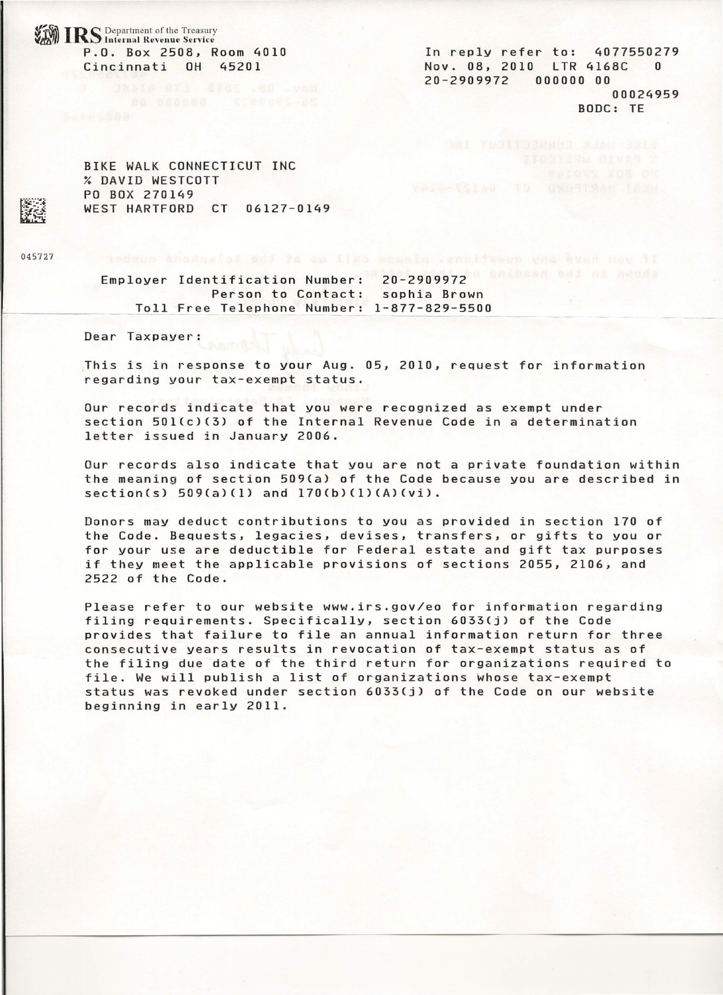IRS Department of the Treasury<br>*IRS* Internal Revenue Service P.O. Box 2508, Room 4010 Cincinnati OH 45201

In reply refer to: 4077550279 Nov. 08, 2010 LTR 4168C 0 20-2909972 000000 00 00024959 BODC: TE

BIKE WALK CONNECTICUT INC % DAVID WESTCOTT PO BOX 270149 WEST HARTFORD CT 06127-0149

045727

Employer Identification Number: 20–290997 Person to Contact: sophia Brown Toll Free Telephone Number: 1-877-829-5500

Dear Taxpayer:

This is in response to your Aug. 05, 2010, request for information regarding your tax-exempt status.

Our records indicate that you were recognized as exempt under section 501(c)(3) of the Internal Revenue Code in a determination letter issued in January 2006.

Our records also indicate that you are not a private foundation within the meaning of section 509(a) of the Code because you are described in  $section(s)$  509(a)(1) and 170(b)(1)(A)(vi).

Donors may deduct contributions to you as provided in section 170 of the Code. Bequests, legacies, devises, transfers, or gifts to you or for your use are deductible for Federal estate and gift tax purposes if they meet the applicable provisions of sections 2055, 2106, and 2522 of the Code.

Please refer to our website www.irs.gov/eo for information regarding filing requirements. Specifically, section 6033(j) of the Code provides that failure to file an annual information return for three consecutive years results in revocation of tax-exempt status as of the filing due date of the third return for organizations required to file. We will publish a list of organizations whose tax-exempt status was revoked under section 6033(j) of the Code on our website beginning in early 2011.